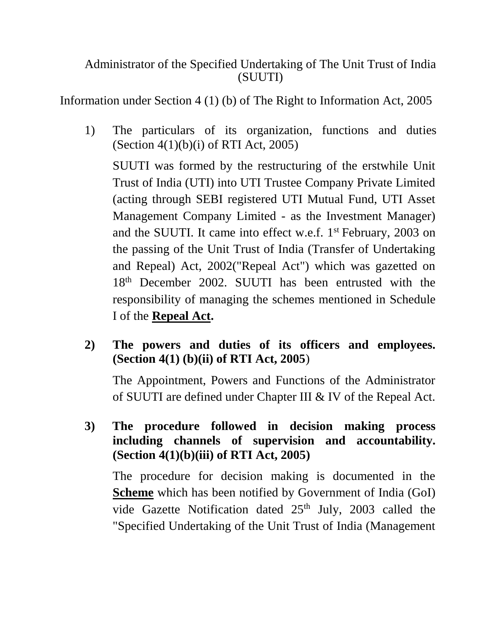## Administrator of the Specified Undertaking of The Unit Trust of India (SUUTI)

Information under Section 4 (1) (b) of The Right to Information Act, 2005

1) The particulars of its organization, functions and duties (Section 4(1)(b)(i) of RTI Act, 2005)

SUUTI was formed by the restructuring of the erstwhile Unit Trust of India (UTI) into UTI Trustee Company Private Limited (acting through SEBI registered UTI Mutual Fund, UTI Asset Management Company Limited - as the Investment Manager) and the SUUTI. It came into effect w.e.f. 1st February, 2003 on the passing of the Unit Trust of India (Transfer of Undertaking and Repeal) Act, 2002("Repeal Act") which was gazetted on 18th December 2002. SUUTI has been entrusted with the responsibility of managing the schemes mentioned in Schedule I of the **Repeal Act.**

**2) The powers and duties of its officers and employees. (Section 4(1) (b)(ii) of RTI Act, 2005**)

The Appointment, Powers and Functions of the Administrator of SUUTI are defined under Chapter III & IV of the Repeal Act.

**3) The procedure followed in decision making process including channels of supervision and accountability. (Section 4(1)(b)(iii) of RTI Act, 2005)**

The procedure for decision making is documented in the **Scheme** which has been notified by Government of India (GoI) vide Gazette Notification dated 25<sup>th</sup> July, 2003 called the "Specified Undertaking of the Unit Trust of India (Management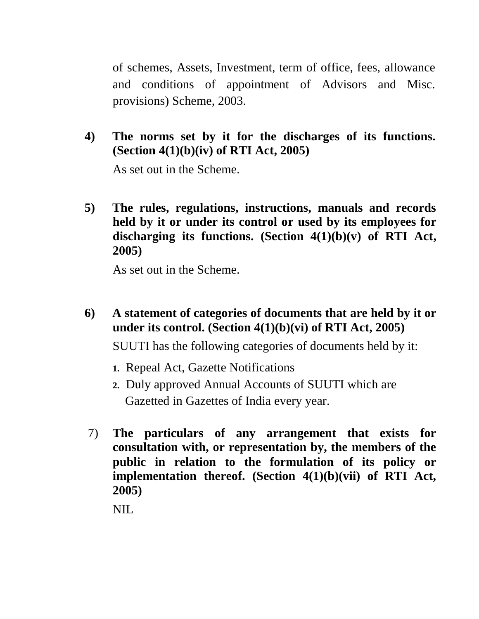of schemes, Assets, Investment, term of office, fees, allowance and conditions of appointment of Advisors and Misc. provisions) Scheme, 2003.

**4) The norms set by it for the discharges of its functions. (Section 4(1)(b)(iv) of RTI Act, 2005)**

As set out in the Scheme.

**5) The rules, regulations, instructions, manuals and records held by it or under its control or used by its employees for discharging its functions. (Section 4(1)(b)(v) of RTI Act, 2005)**

As set out in the Scheme.

**6) A statement of categories of documents that are held by it or under its control. (Section 4(1)(b)(vi) of RTI Act, 2005)**

SUUTI has the following categories of documents held by it:

- **1.** Repeal Act, Gazette Notifications
- **2.** Duly approved Annual Accounts of SUUTI which are Gazetted in Gazettes of India every year.
- 7) **The particulars of any arrangement that exists for consultation with, or representation by, the members of the public in relation to the formulation of its policy or implementation thereof. (Section 4(1)(b)(vii) of RTI Act, 2005)**

NIL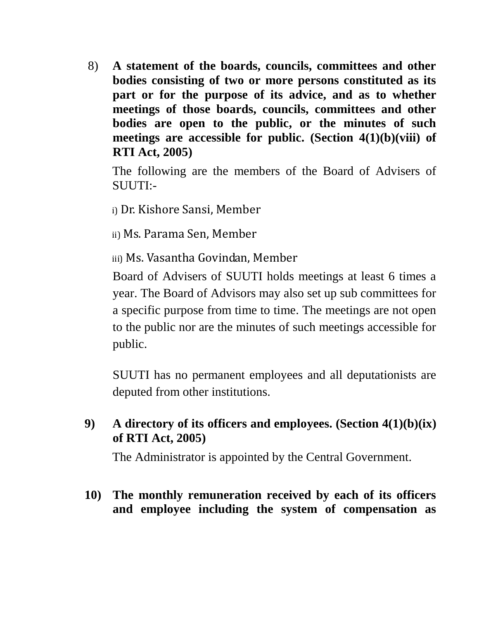8) **A statement of the boards, councils, committees and other bodies consisting of two or more persons constituted as its part or for the purpose of its advice, and as to whether meetings of those boards, councils, committees and other bodies are open to the public, or the minutes of such meetings are accessible for public. (Section 4(1)(b)(viii) of RTI Act, 2005)**

The following are the members of the Board of Advisers of SUUTI:-

- i) Dr. Kishore Sansi, Member
- ii) Ms. Parama Sen, Member

iii) Ms. Vasantha Govindan, Member

Board of Advisers of SUUTI holds meetings at least 6 times a year. The Board of Advisors may also set up sub committees for a specific purpose from time to time. The meetings are not open to the public nor are the minutes of such meetings accessible for public.

SUUTI has no permanent employees and all deputationists are deputed from other institutions.

## **9) A directory of its officers and employees. (Section 4(1)(b)(ix) of RTI Act, 2005)**

The Administrator is appointed by the Central Government.

**10) The monthly remuneration received by each of its officers and employee including the system of compensation as**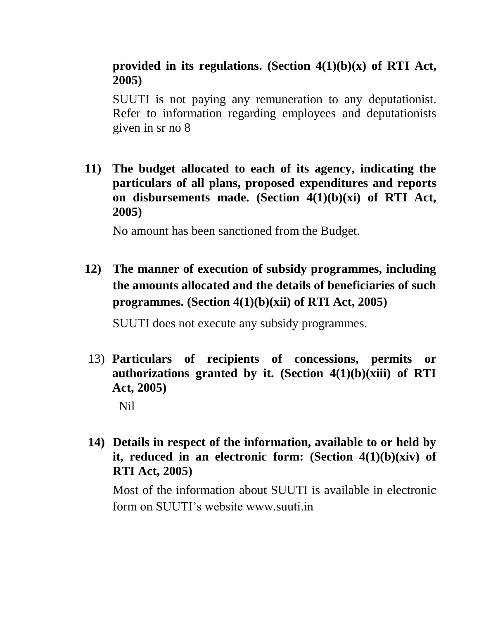## **provided in its regulations. (Section 4(1)(b)(x) of RTI Act, 2005)**

SUUTI is not paying any remuneration to any deputationist. Refer to information regarding employees and deputationists given in sr no 8

**11) The budget allocated to each of its agency, indicating the particulars of all plans, proposed expenditures and reports on disbursements made. (Section 4(1)(b)(xi) of RTI Act, 2005)**

No amount has been sanctioned from the Budget.

**12) The manner of execution of subsidy programmes, including the amounts allocated and the details of beneficiaries of such programmes. (Section 4(1)(b)(xii) of RTI Act, 2005)**

SUUTI does not execute any subsidy programmes.

13) **Particulars of recipients of concessions, permits or authorizations granted by it. (Section 4(1)(b)(xiii) of RTI Act, 2005)**

Nil

**14) Details in respect of the information, available to or held by it, reduced in an electronic form: (Section 4(1)(b)(xiv) of RTI Act, 2005)**

Most of the information about SUUTI is available in electronic form on SUUTI's website www.suuti.in